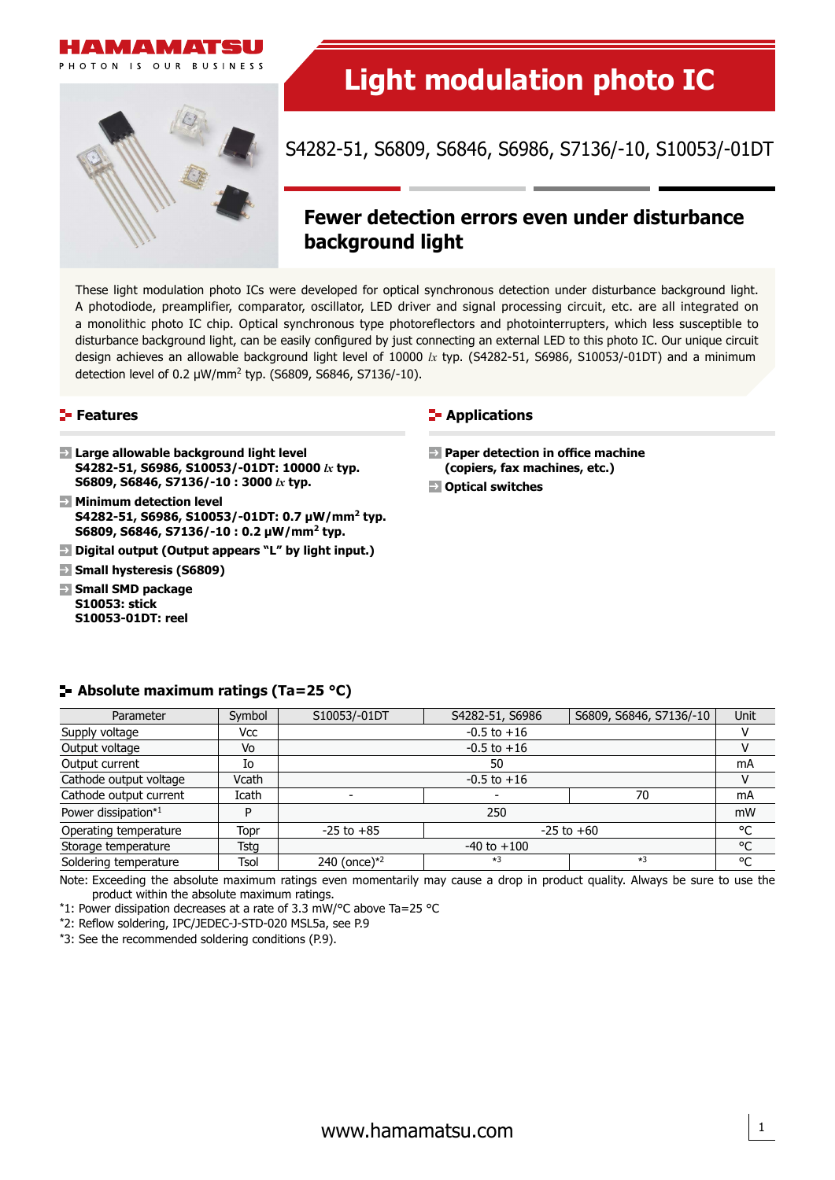



# **Light modulation photo IC**

S4282-51, S6809, S6846, S6986, S7136/-10, S10053/-01DT

## **Fewer detection errors even under disturbance background light**

These light modulation photo ICs were developed for optical synchronous detection under disturbance background light. A photodiode, preamplifier, comparator, oscillator, LED driver and signal processing circuit, etc. are all integrated on a monolithic photo IC chip. Optical synchronous type photoreflectors and photointerrupters, which less susceptible to disturbance background light, can be easily configured by just connecting an external LED to this photo IC. Our unique circuit design achieves an allowable background light level of 10000 *lx* typ. (S4282-51, S6986, S10053/-01DT) and a minimum detection level of 0.2  $\mu$ W/mm<sup>2</sup> typ. (S6809, S6846, S7136/-10).

#### **Features**

- **Large allowable background light level S4282-51, S6986, S10053/-01DT: 10000** *lx* **typ. S6809, S6846, S7136/-10 : 3000** *lx* **typ.**
- **Minimum detection level S4282-51, S6986, S10053/-01DT: 0.7 µW/mm2 typ. S6809, S6846, S7136/-10 : 0.2 µW/mm2 typ.**
- **Digital output (Output appears "L" by light input.)**
- **Small hysteresis (S6809)**
- **Small SMD package S10053: stick S10053-01DT: reel**

#### **E-** Applications

- **Paper detection in office machine (copiers, fax machines, etc.)**
- **Optical switches**

#### **Absolute maximum ratings (Ta=25 °C)**

| Parameter              | Symbol | S10053/-01DT                     | S4282-51, S6986 | S6809, S6846, S7136/-10 | Unit |
|------------------------|--------|----------------------------------|-----------------|-------------------------|------|
| Supply voltage         | Vcc    | $-0.5$ to $+16$                  |                 |                         |      |
| Output voltage         | Vo     | $-0.5$ to $+16$                  |                 |                         |      |
| Output current         | Io     | 50                               |                 |                         | mA   |
| Cathode output voltage | Vcath  | $-0.5$ to $+16$                  |                 |                         |      |
| Cathode output current | Icath  |                                  |                 | 70                      | mA   |
| Power dissipation*1    | D      | 250                              |                 |                         | mW   |
| Operating temperature  | Topr   | $-25$ to $+60$<br>$-25$ to $+85$ |                 |                         | °C   |
| Storage temperature    | Tstg   | $-40$ to $+100$                  |                 |                         | °C   |
| Soldering temperature  | Tsol   | 240 (once) $*^2$                 | $*3$            | $*3$                    | °C   |

Note: Exceeding the absolute maximum ratings even momentarily may cause a drop in product quality. Always be sure to use the product within the absolute maximum ratings.

\*1: Power dissipation decreases at a rate of 3.3 mW/°C above Ta=25 °C

\*2: Reflow soldering, IPC/JEDEC-J-STD-020 MSL5a, see P.9

\*3: See the recommended soldering conditions (P.9).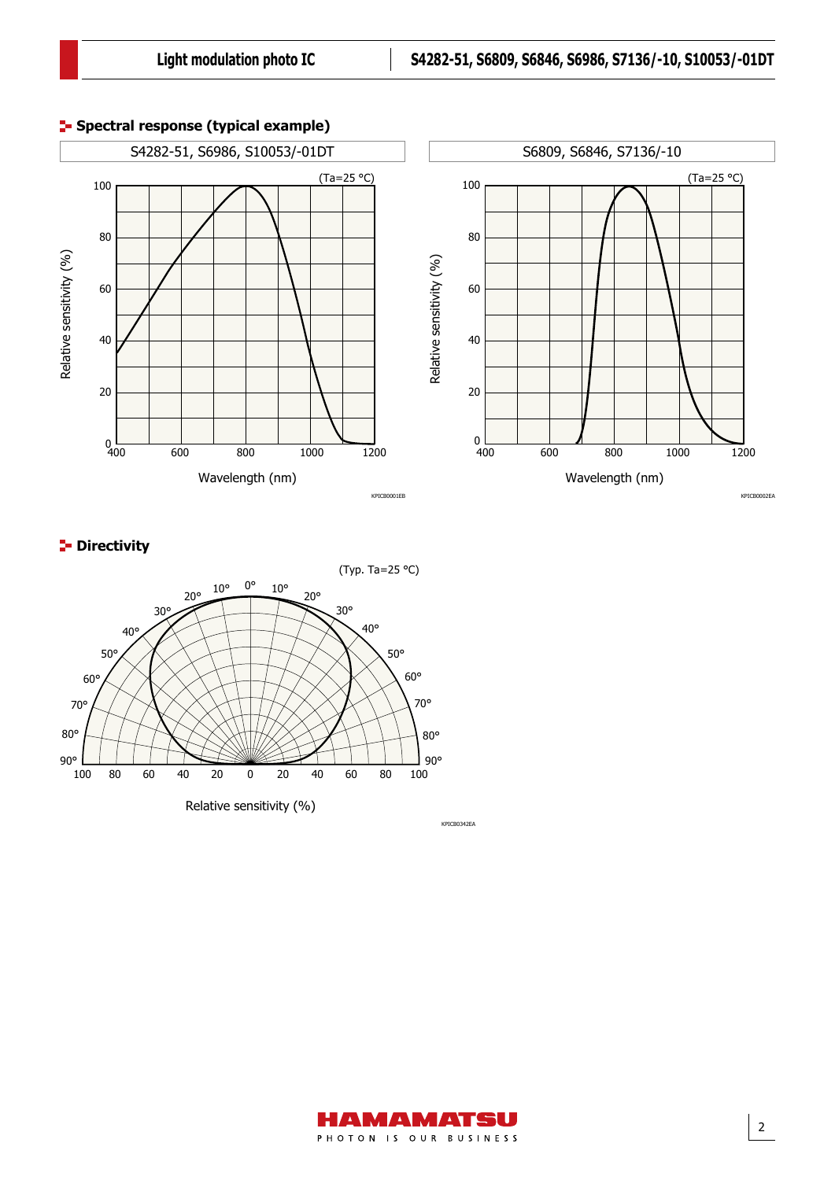

## **P**-Directivity



KPICB0342EA

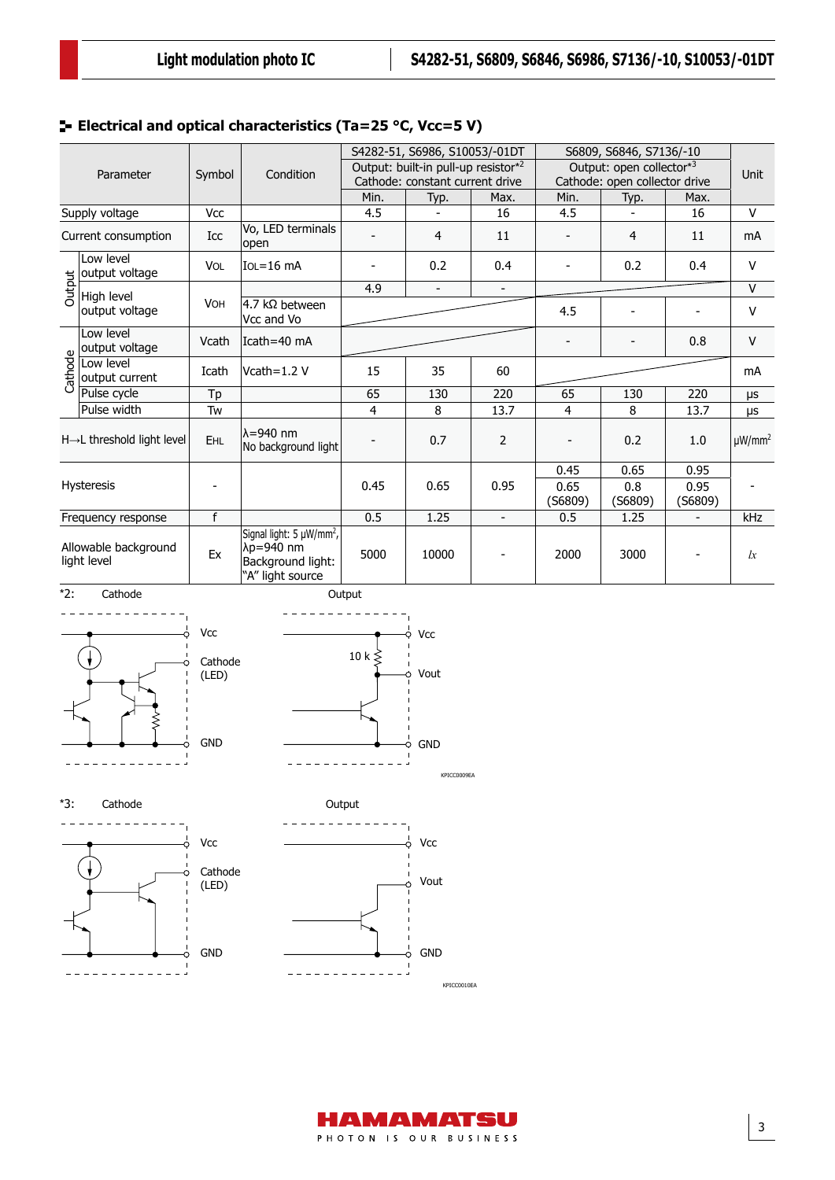## **Electrical and optical characteristics (Ta=25 °C, Vcc=5 V)**

| Parameter |                                        |            | Condition                                                                                  | S4282-51, S6986, S10053/-01DT                                          |                          |                | S6809, S6846, S7136/-10                                   |                |                          | <b>Unit</b>             |  |  |
|-----------|----------------------------------------|------------|--------------------------------------------------------------------------------------------|------------------------------------------------------------------------|--------------------------|----------------|-----------------------------------------------------------|----------------|--------------------------|-------------------------|--|--|
|           |                                        | Symbol     |                                                                                            | Output: built-in pull-up resistor*2<br>Cathode: constant current drive |                          |                | Output: open collector*3<br>Cathode: open collector drive |                |                          |                         |  |  |
|           |                                        |            |                                                                                            | Min.                                                                   | Typ.                     | Max.           | Min.                                                      | Typ.           | Max.                     |                         |  |  |
|           | Supply voltage                         | Vcc        |                                                                                            | 4.5                                                                    | $\overline{\phantom{a}}$ | 16             | 4.5                                                       | $\blacksquare$ | 16                       | $\vee$                  |  |  |
|           | Current consumption                    | Icc        | Vo, LED terminals<br>lopen                                                                 |                                                                        | $\overline{4}$           | 11             |                                                           | 4              | 11                       | mA                      |  |  |
|           | Low level<br>output voltage            | <b>VOL</b> | $IOL = 16$ mA                                                                              |                                                                        | 0.2                      | 0.4            |                                                           | 0.2            | 0.4                      | v                       |  |  |
| Output    | High level                             |            |                                                                                            | 4.9                                                                    | $\frac{1}{2}$            |                |                                                           |                |                          | $\vee$                  |  |  |
|           | output voltage                         | <b>VOH</b> | 4.7 k $\Omega$ between<br>Vcc and Vo                                                       |                                                                        |                          |                | 4.5                                                       |                |                          | v                       |  |  |
|           | Low level<br>output voltage            | Vcath      | Icath=40 mA                                                                                |                                                                        |                          |                |                                                           | $\blacksquare$ | 0.8                      | V                       |  |  |
| Cathode   | Low level<br>output current            | Icath      | Vcath= $1.2$ V                                                                             | 15<br>35<br>60                                                         |                          |                |                                                           | mA             |                          |                         |  |  |
|           | Pulse cycle                            | Tp         |                                                                                            | 65                                                                     | 130                      | 220            | 65                                                        | 130            | 220                      | μs                      |  |  |
|           | Pulse width                            | Tw         |                                                                                            | 4                                                                      | 8                        | 13.7           | 4                                                         | 8              | 13.7                     | μs                      |  |  |
|           | $H\rightarrow L$ threshold light level | <b>EHL</b> | lλ=940 nm<br>No background light                                                           |                                                                        | 0.7                      | 2              |                                                           | 0.2            | 1.0                      | $\mu$ W/mm <sup>2</sup> |  |  |
|           |                                        |            |                                                                                            |                                                                        |                          |                | 0.45                                                      | 0.65           | 0.95                     |                         |  |  |
|           | Hysteresis                             |            |                                                                                            | 0.45                                                                   | 0.65                     | 0.95           | 0.65<br>$($ S6809 $)$                                     | 0.8<br>(56809) | 0.95<br>(56809)          |                         |  |  |
|           | Frequency response                     | f          |                                                                                            | 0.5                                                                    | 1.25                     | $\blacksquare$ | 0.5                                                       | 1.25           |                          | kHz                     |  |  |
|           | Allowable background<br>light level    | Ex         | Signal light: 5 µW/mm <sup>2</sup> ,<br>λp=940 nm<br>Background light:<br>"A" light source | 5000                                                                   | 10000                    |                | 2000                                                      | 3000           | $\overline{\phantom{a}}$ | lx                      |  |  |









\*3:





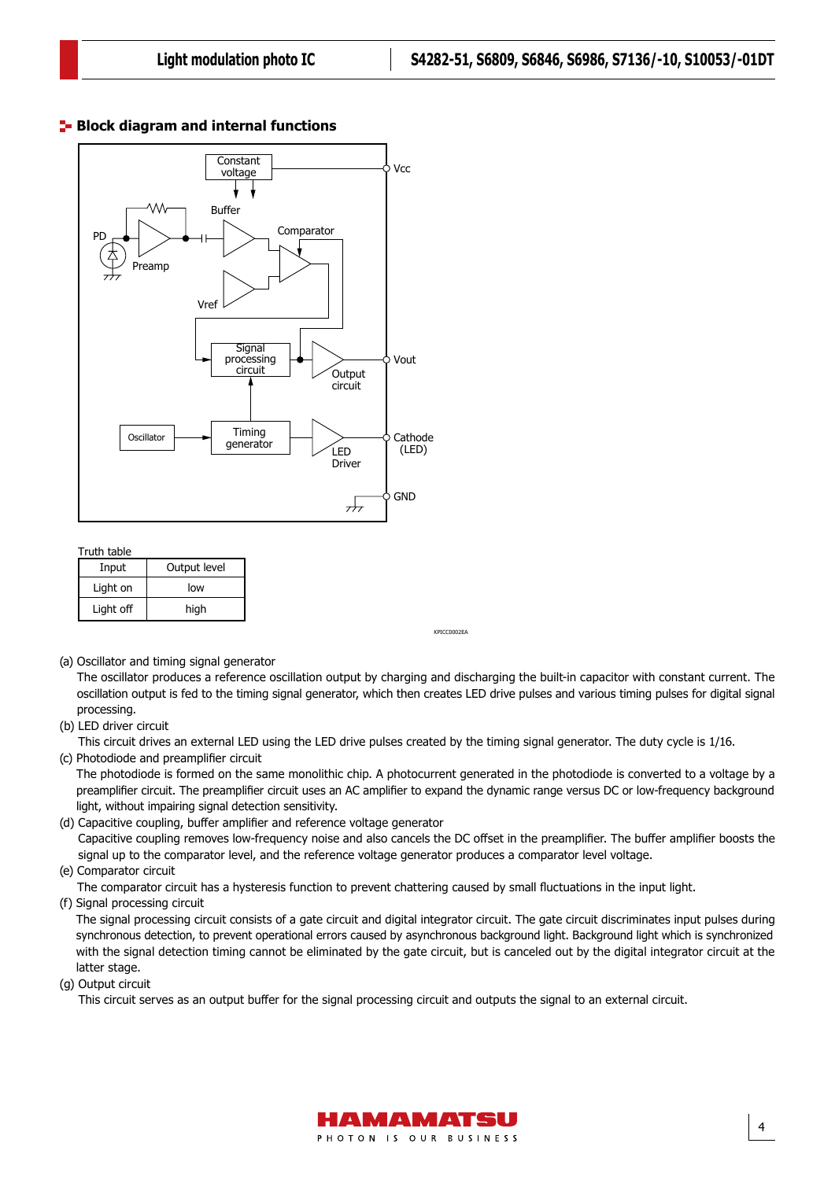#### **Block diagram and internal functions**

Block diagram and internal functions (S6986, S6846, S4282-51, S7136)



Truth table

| Input     | Output level |
|-----------|--------------|
| Light on  | low          |
| Light off | high         |

(a) Oscillator and timing signal generator

The oscillator produces a reference oscillation output by charging and discharging the built-in capacitor with constant current. The oscillation output is fed to the timing signal generator, which then creates LED drive pulses and various timing pulses for digital signal processing.

KPICC0002EA

(b) LED driver circuit

KPICC0002EA This circuit drives an external LED using the LED drive pulses created by the timing signal generator. The duty cycle is 1/16. (c) Photodiode and preamplifier circuit

The photodiode is formed on the same monolithic chip. A photocurrent generated in the photodiode is converted to a voltage by a preamplifier circuit. The preamplifier circuit uses an AC amplifier to expand the dynamic range versus DC or low-frequency background light, without impairing signal detection sensitivity.

(d) Capacitive coupling, buffer amplifier and reference voltage generator Capacitive coupling removes low-frequency noise and also cancels the DC offset in the preamplifier. The buffer amplifier boosts the signal up to the comparator level, and the reference voltage generator produces a comparator level voltage.

#### (e) Comparator circuit

The comparator circuit has a hysteresis function to prevent chattering caused by small fluctuations in the input light.

(f) Signal processing circuit

The signal processing circuit consists of a gate circuit and digital integrator circuit. The gate circuit discriminates input pulses during synchronous detection, to prevent operational errors caused by asynchronous background light. Background light which is synchronized with the signal detection timing cannot be eliminated by the gate circuit, but is canceled out by the digital integrator circuit at the latter stage.

(g) Output circuit

This circuit serves as an output buffer for the signal processing circuit and outputs the signal to an external circuit.

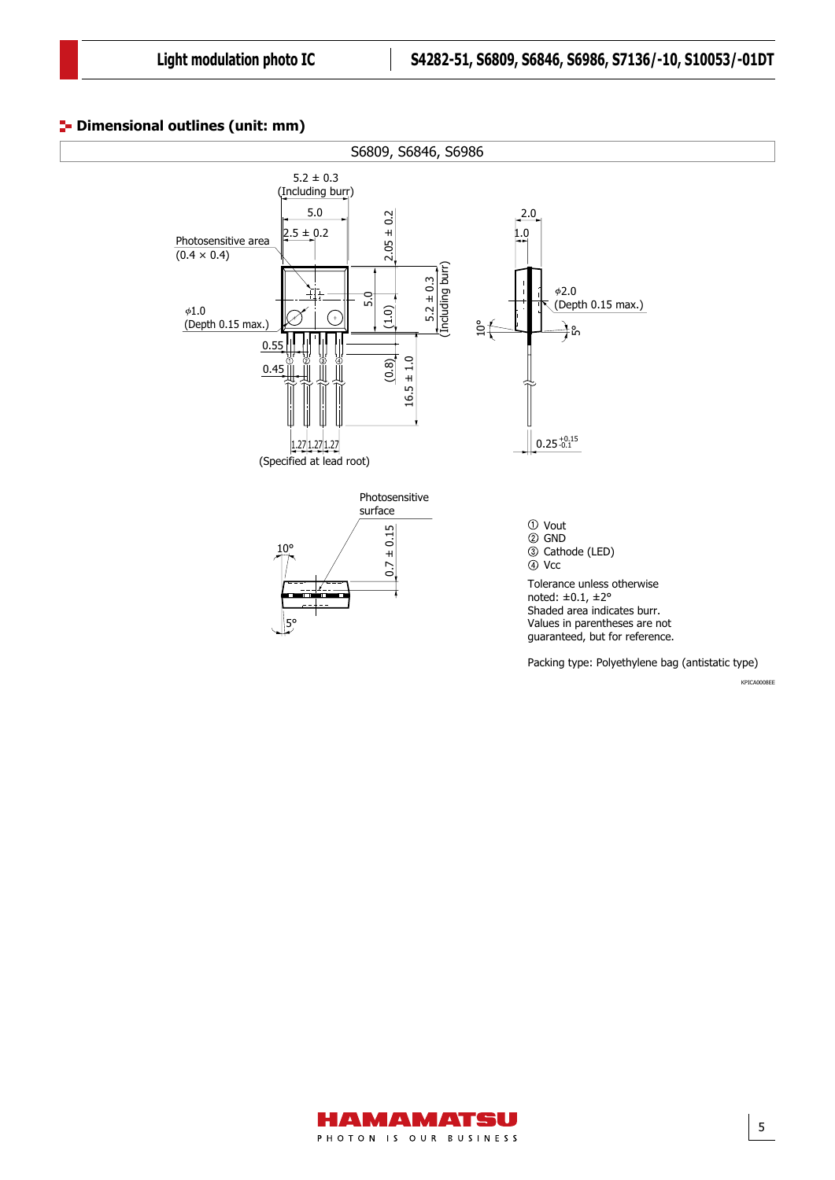#### **<sup>1</sup>** Dimensional outlines (unit: mm)





5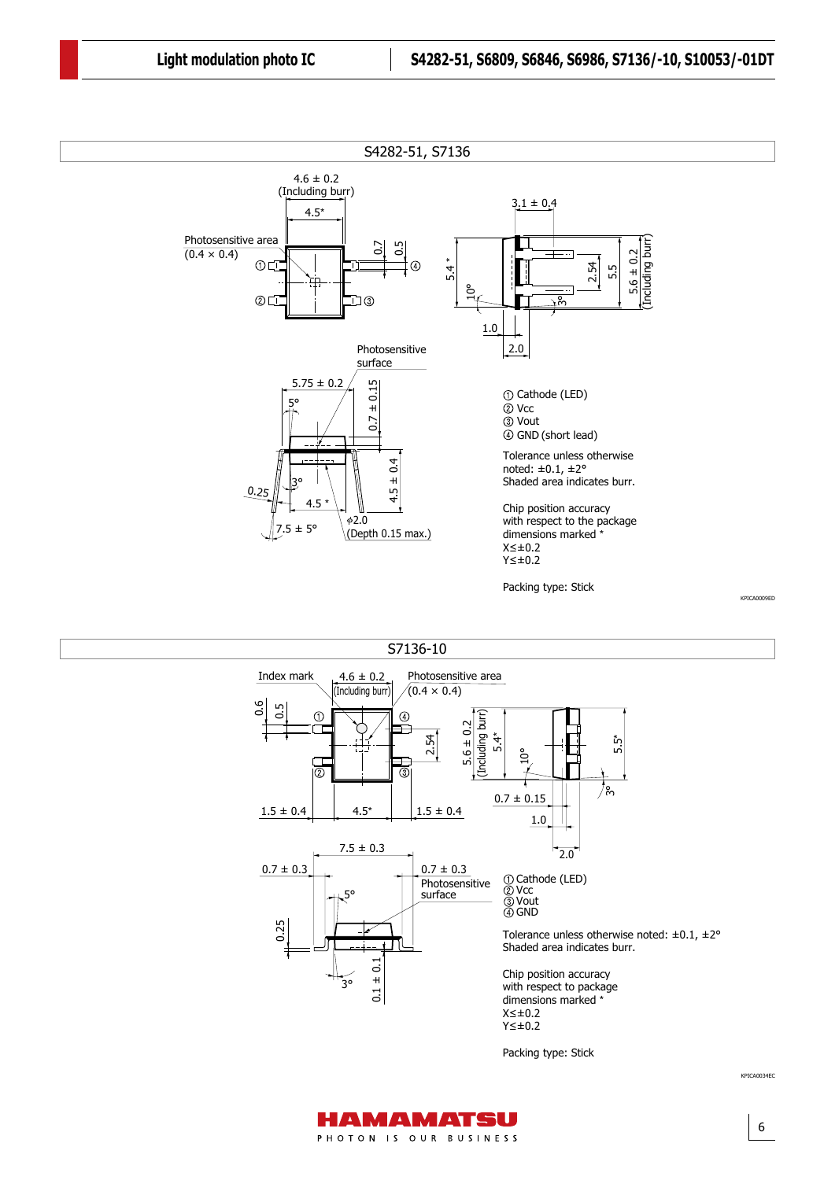

S7136-10



Packing type: Stick

6

KPICA0034EC

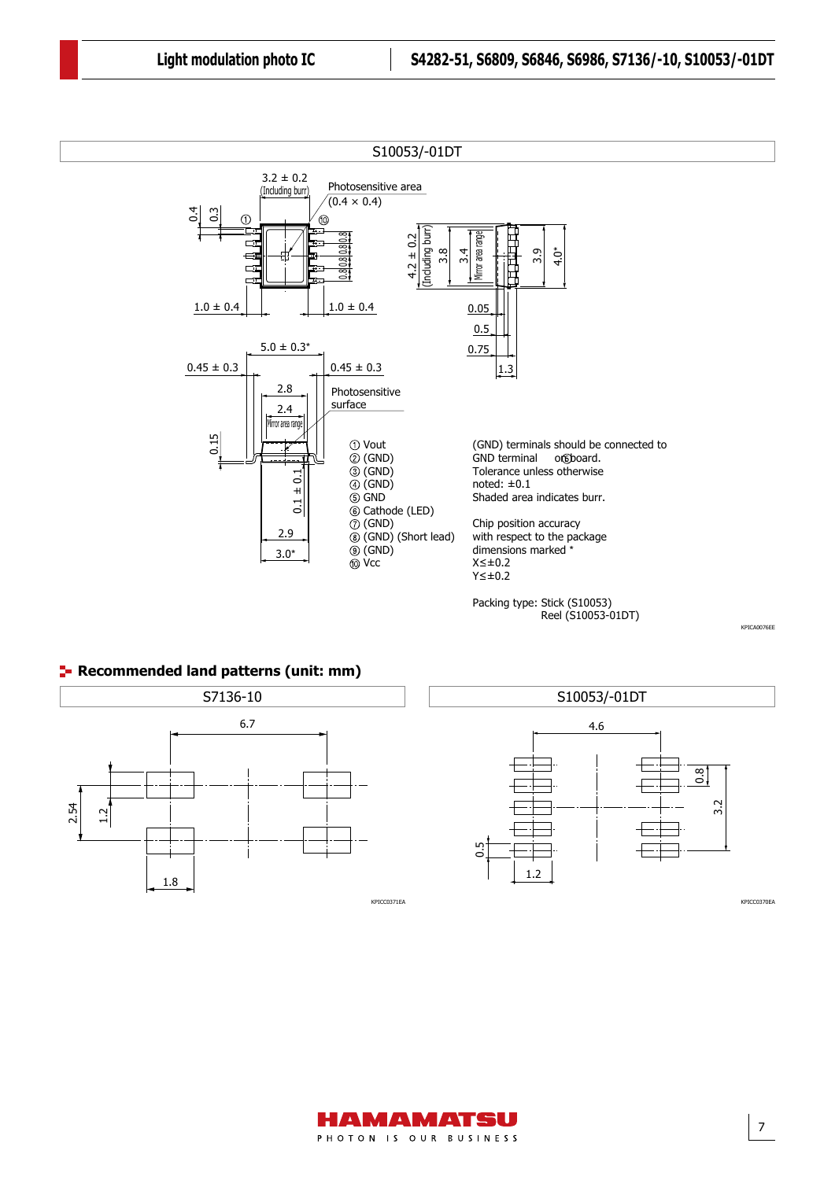





7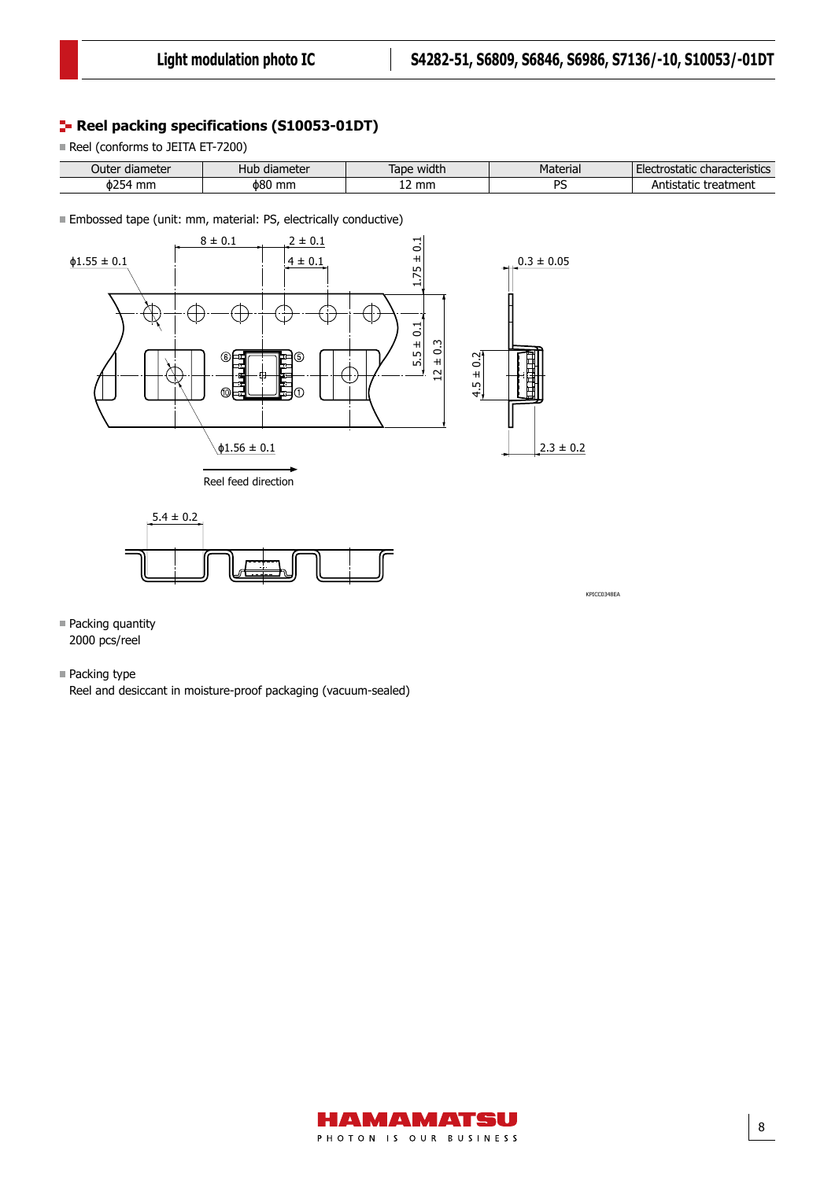## **Reel packing specifications (S10053-01DT)**

Reel (conforms to JEITA ET-7200)

| r diameter       | , diameter  | width | Material       | : characteristics   |
|------------------|-------------|-------|----------------|---------------------|
| Juter            | nuv         | Tape  |                | Electrostatic       |
| $\phi$ 254<br>mm | φ80<br>' mm | ' mm  | n.<br>$\cdots$ | ntistatic treatment |

Embossed tape (unit: mm, material: PS, electrically conductive)





KPICC0348EA

- Packing quantity 2000 pcs/reel
- **Packing type**

Reel and desiccant in moisture-proof packaging (vacuum-sealed)

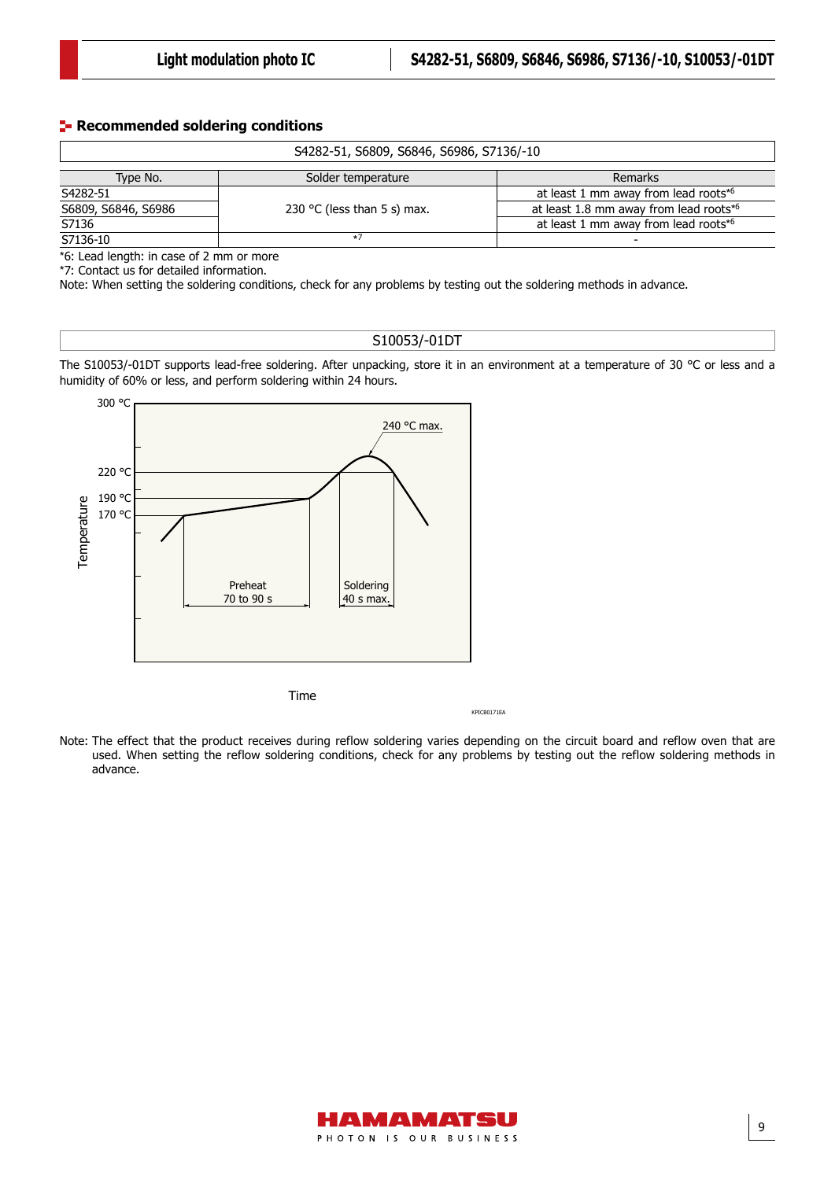#### **Recommended soldering conditions**

| S4282-51, S6809, S6846, S6986, S7136/-10 |                             |                                        |  |  |
|------------------------------------------|-----------------------------|----------------------------------------|--|--|
| Type No.                                 | Solder temperature          | Remarks                                |  |  |
| S4282-51                                 |                             | at least 1 mm away from lead roots*6   |  |  |
| S6809, S6846, S6986                      | 230 °C (less than 5 s) max. | at least 1.8 mm away from lead roots*6 |  |  |
| S7136                                    |                             | at least 1 mm away from lead roots*6   |  |  |
| S7136-10                                 | $*7$                        | -                                      |  |  |

\*6: Lead length: in case of 2 mm or more

\*7: Contact us for detailed information.

Note: When setting the soldering conditions, check for any problems by testing out the soldering methods in advance.

#### S10053/-01DT

The S10053/-01DT supports lead-free soldering. After unpacking, store it in an environment at a temperature of 30 °C or less and a humidity of 60% or less, and perform soldering within 24 hours.



KPICB0171EA

Note: The effect that the product receives during reflow soldering varies depending on the circuit board and reflow oven that are used. When setting the reflow soldering conditions, check for any problems by testing out the reflow soldering methods in advance.